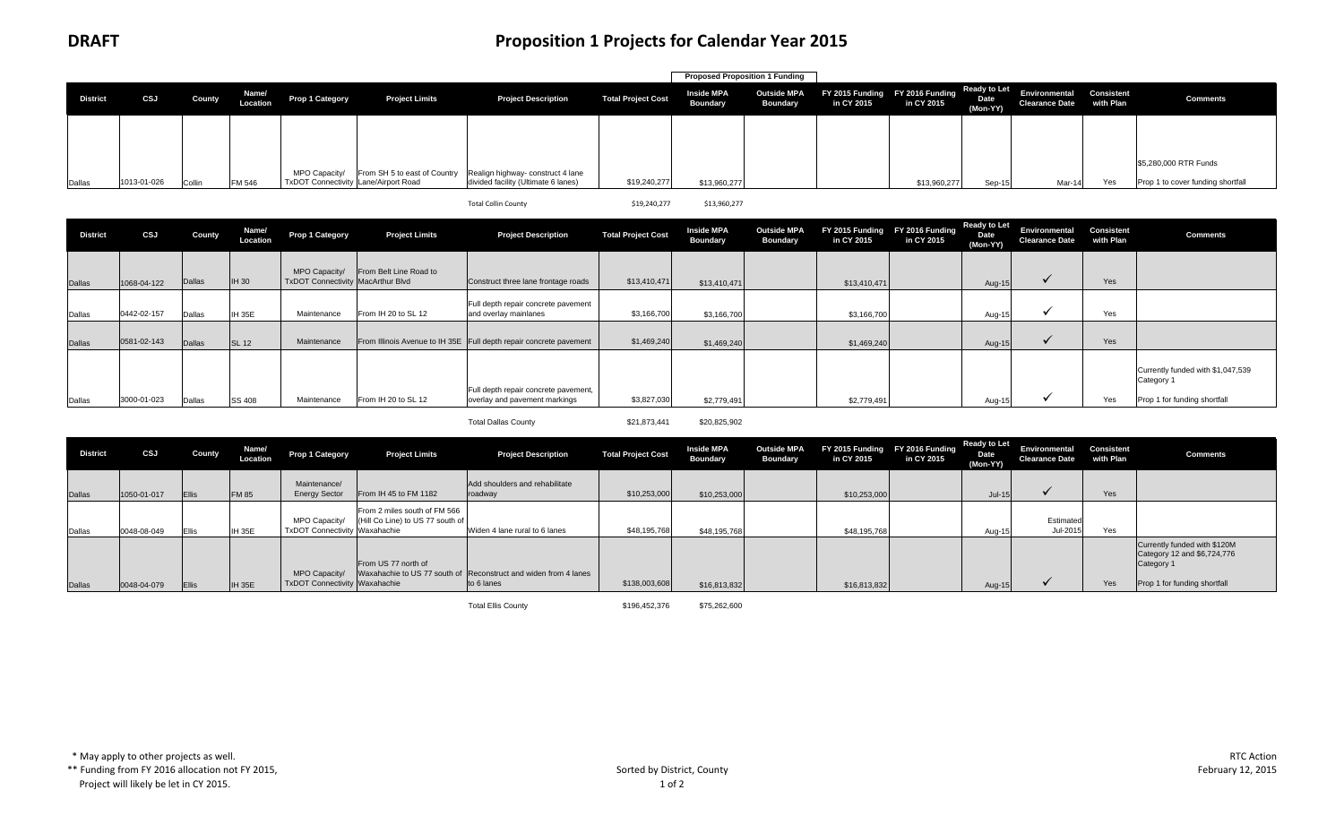|                 |             |        |                   |                                      |                       |                                                                |                           | <b>Proposed Proposition 1 Funding</b> |                                       |                                               |              |                                         |                                                             |     |                                   |
|-----------------|-------------|--------|-------------------|--------------------------------------|-----------------------|----------------------------------------------------------------|---------------------------|---------------------------------------|---------------------------------------|-----------------------------------------------|--------------|-----------------------------------------|-------------------------------------------------------------|-----|-----------------------------------|
| <b>District</b> | CSJ         | County | Name/<br>Location | Prop 1 Category                      | <b>Project Limits</b> | <b>Project Description</b>                                     | <b>Total Project Cost</b> | <b>Inside MPA</b><br><b>Boundary</b>  | <b>Outside MPA</b><br><b>Boundary</b> | FY 2015 Funding FY 2016 Funding<br>in CY 2015 | in CY 2015   | <b>Ready to Let</b><br>Date<br>(Mon-YY) | Environmental Consistent<br><b>Clearance Date</b> with Plan |     | <b>Comments</b>                   |
|                 |             |        |                   |                                      |                       |                                                                |                           |                                       |                                       |                                               |              |                                         |                                                             |     |                                   |
|                 |             |        |                   | MPO Capacity/                        |                       | From SH 5 to east of Country Realign highway- construct 4 lane |                           |                                       |                                       |                                               |              |                                         |                                                             |     | \$5,280,000 RTR Funds             |
| Dallas          | 1013-01-026 | Collin | FM 546            | TxDOT Connectivity Lane/Airport Road |                       | divided facility (Ultimate 6 lanes)                            | \$19,240,277              | \$13,960,277                          |                                       |                                               | \$13,960,277 | Sep-1!                                  | Mar-14                                                      | Yes | Prop 1 to cover funding shortfall |

\$19,240,277 \$13,960,277

| <b>District</b> | CSJ         | County        | Name/<br>Location | Prop 1 Category                                    | <b>Project Limits</b>  | <b>Project Description</b>                                            | <b>Total Project Cost</b> | <b>Inside MPA</b><br><b>Boundary</b> | <b>Outside MPA</b><br><b>Boundary</b> | FY 2015 Funding FY 2016 Funding<br>in CY 2015 | in CY 2015 | <b>Ready to Let</b><br>Date<br>(Mon-YY) | Environmental<br><b>Clearance Date</b> | <b>Consistent</b><br>with Plan | <b>Comments</b>                                                                 |
|-----------------|-------------|---------------|-------------------|----------------------------------------------------|------------------------|-----------------------------------------------------------------------|---------------------------|--------------------------------------|---------------------------------------|-----------------------------------------------|------------|-----------------------------------------|----------------------------------------|--------------------------------|---------------------------------------------------------------------------------|
| Dallas          | 1068-04-122 | <b>Dallas</b> | IH 30             | MPO Capacity/<br>TxDOT Connectivity MacArthur Blvd | From Belt Line Road to | Construct three lane frontage roads                                   | \$13,410,471              | \$13,410,471                         |                                       | \$13,410,471                                  |            | Aug-15                                  |                                        | Yes                            |                                                                                 |
| Dallas          | 0442-02-157 | Dallas        | <b>IH 35E</b>     | Maintenance                                        | From IH 20 to SL 12    | Full depth repair concrete pavement<br>and overlay mainlanes          | \$3,166,700               | \$3,166,700                          |                                       | \$3,166,700                                   |            | Aug-1                                   |                                        | Yes                            |                                                                                 |
| Dallas          | 0581-02-143 | <b>Dallas</b> | <b>SL 12</b>      | Maintenance                                        |                        | From Illinois Avenue to IH 35E Full depth repair concrete pavement    | \$1,469,240               | \$1,469,240                          |                                       | \$1,469,240                                   |            | Aug-15                                  |                                        | Yes                            |                                                                                 |
| Dallas          | 3000-01-023 | Dallas        | <b>SS 408</b>     | Maintenance                                        | From IH 20 to SL 12    | Full depth repair concrete pavement,<br>overlay and pavement markings | \$3,827,030               | \$2,779,491                          |                                       | \$2,779,491                                   |            | Aug-1                                   |                                        | Yes                            | Currently funded with \$1,047,539<br>Category 1<br>Prop 1 for funding shortfall |

Total Dallas County **\$21,873,441** \$20,825,902

Total Collin

| <b>District</b> | CSJ         | County | Name/<br>Location | Prop 1 Category                                | <b>Project Limits</b>                                            | <b>Project Description</b>                                                    | <b>Total Project Cost</b> | <b>Inside MPA</b><br>Boundary | <b>Outside MPA</b><br><b>Boundary</b> | in CY 2015   | FY 2015 Funding FY 2016 Funding<br>in CY 2015 | Ready to Let<br><b>Date</b><br>(Mon-YY) | Environmental Consistent<br><b>Clearance Date</b> | with Plan | <b>Comments</b>                                                                                           |
|-----------------|-------------|--------|-------------------|------------------------------------------------|------------------------------------------------------------------|-------------------------------------------------------------------------------|---------------------------|-------------------------------|---------------------------------------|--------------|-----------------------------------------------|-----------------------------------------|---------------------------------------------------|-----------|-----------------------------------------------------------------------------------------------------------|
| Dallas          | 1050-01-017 | Ellis  | <b>FM 85</b>      | Maintenance/<br><b>Energy Sector</b>           | From IH 45 to FM 1182                                            | Add shoulders and rehabilitate<br>roadway                                     | \$10,253,000              | \$10,253,000                  |                                       | \$10,253,000 |                                               | $Jul-15$                                |                                                   | Yes       |                                                                                                           |
| Dallas          | 0048-08-049 | Ellis  | <b>IH 35E</b>     | MPO Capacity/<br>TxDOT Connectivity Waxahachie | From 2 miles south of FM 566<br>(Hill Co Line) to US 77 south of | Widen 4 lane rural to 6 lanes                                                 | \$48,195,768              | \$48,195,768                  |                                       | \$48,195,768 |                                               | Aug-15                                  | Estimated<br>Jul-2015                             | Yes       |                                                                                                           |
| Dallas          | 0048-04-079 | Ellis  | <b>IH 35E</b>     | MPO Capacity/<br>TxDOT Connectivity Waxahachie | From US 77 north of                                              | Waxahachie to US 77 south of Reconstruct and widen from 4 lanes<br>to 6 lanes | \$138,003,608             | \$16,813,832                  |                                       | \$16,813,832 |                                               | Aug-15                                  |                                                   | Yes       | Currently funded with \$120M<br>Category 12 and \$6,724,776<br>Category 1<br>Prop 1 for funding shortfall |

Total Ellis County **\$196,452,376** \$75,262,600